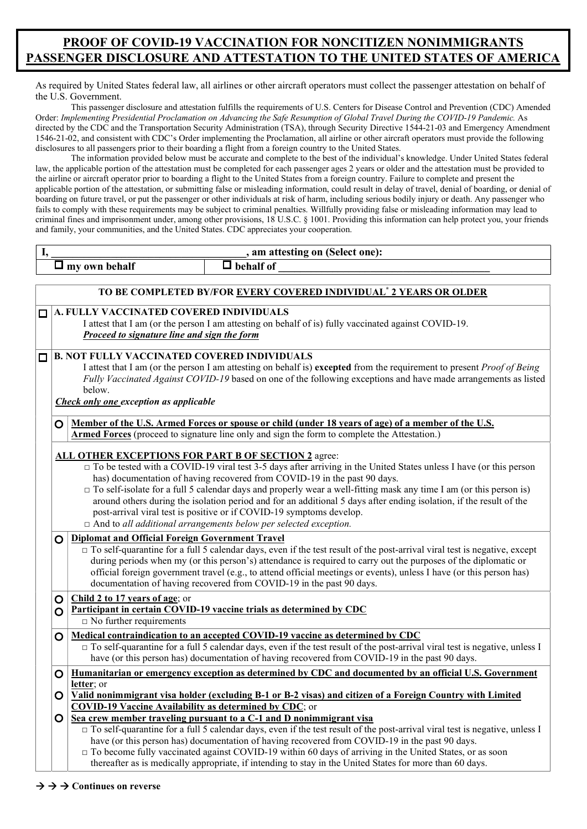## PROOF OF COVID-19 VACCINATION FOR NONCITIZEN NONIMMIGRANTS PASSENGER DISCLOSURE AND ATTESTATION TO THE UNITED STATES OF AMERICA

As required by United States federal law, all airlines or other aircraft operators must collect the passenger attestation on behalf of the U.S. Government.

This passenger disclosure and attestation fulfills the requirements of U.S. Centers for Disease Control and Prevention (CDC) Amended Order: Implementing Presidential Proclamation on Advancing the Safe Resumption of Global Travel During the COVID-19 Pandemic. As directed by the CDC and the Transportation Security Administration (TSA), through Security Directive 1544-21-03 and Emergency Amendment 1546-21-02, and consistent with CDC's Order implementing the Proclamation, all airline or other aircraft operators must provide the following disclosures to all passengers prior to their boarding a flight from a foreign country to the United States.

The information provided below must be accurate and complete to the best of the individual's knowledge. Under United States federal law, the applicable portion of the attestation must be completed for each passenger ages 2 years or older and the attestation must be provided to the airline or aircraft operator prior to boarding a flight to the United States from a foreign country. Failure to complete and present the applicable portion of the attestation, or submitting false or misleading information, could result in delay of travel, denial of boarding, or denial of boarding on future travel, or put the passenger or other individuals at risk of harm, including serious bodily injury or death. Any passenger who fails to comply with these requirements may be subject to criminal penalties. Willfully providing false or misleading information may lead to criminal fines and imprisonment under, among other provisions, 18 U.S.C. § 1001. Providing this information can help protect you, your friends and family, your communities, and the United States. CDC appreciates your cooperation.

| I,                                                                                           | , am attesting on (Select one):                                                                                                                                                                                                         |                                                                                                                                    |  |  |  |  |  |
|----------------------------------------------------------------------------------------------|-----------------------------------------------------------------------------------------------------------------------------------------------------------------------------------------------------------------------------------------|------------------------------------------------------------------------------------------------------------------------------------|--|--|--|--|--|
|                                                                                              |                                                                                                                                                                                                                                         | $\Box$ behalf of<br>$\square$ my own behalf                                                                                        |  |  |  |  |  |
|                                                                                              |                                                                                                                                                                                                                                         |                                                                                                                                    |  |  |  |  |  |
|                                                                                              | TO BE COMPLETED BY/FOR EVERY COVERED INDIVIDUAL <sup>*</sup> 2 YEARS OR OLDER                                                                                                                                                           |                                                                                                                                    |  |  |  |  |  |
| П                                                                                            | A. FULLY VACCINATED COVERED INDIVIDUALS                                                                                                                                                                                                 |                                                                                                                                    |  |  |  |  |  |
|                                                                                              | I attest that I am (or the person I am attesting on behalf of is) fully vaccinated against COVID-19.                                                                                                                                    |                                                                                                                                    |  |  |  |  |  |
|                                                                                              | Proceed to signature line and sign the form                                                                                                                                                                                             |                                                                                                                                    |  |  |  |  |  |
| О                                                                                            | <b>B. NOT FULLY VACCINATED COVERED INDIVIDUALS</b>                                                                                                                                                                                      |                                                                                                                                    |  |  |  |  |  |
|                                                                                              |                                                                                                                                                                                                                                         | I attest that I am (or the person I am attesting on behalf is) excepted from the requirement to present <i>Proof of Being</i>      |  |  |  |  |  |
|                                                                                              |                                                                                                                                                                                                                                         | Fully Vaccinated Against COVID-19 based on one of the following exceptions and have made arrangements as listed                    |  |  |  |  |  |
|                                                                                              |                                                                                                                                                                                                                                         | below.                                                                                                                             |  |  |  |  |  |
|                                                                                              | <b>Check only one exception as applicable</b>                                                                                                                                                                                           |                                                                                                                                    |  |  |  |  |  |
|                                                                                              | <u>Member of the U.S. Armed Forces or spouse or child (under 18 years of age) of a member of the U.S.</u><br>O                                                                                                                          |                                                                                                                                    |  |  |  |  |  |
| Armed Forces (proceed to signature line only and sign the form to complete the Attestation.) |                                                                                                                                                                                                                                         |                                                                                                                                    |  |  |  |  |  |
|                                                                                              |                                                                                                                                                                                                                                         |                                                                                                                                    |  |  |  |  |  |
|                                                                                              | <b>ALL OTHER EXCEPTIONS FOR PART B OF SECTION 2</b> agree:<br>$\Box$ To be tested with a COVID-19 viral test 3-5 days after arriving in the United States unless I have (or this person                                                 |                                                                                                                                    |  |  |  |  |  |
|                                                                                              | has) documentation of having recovered from COVID-19 in the past 90 days.                                                                                                                                                               |                                                                                                                                    |  |  |  |  |  |
|                                                                                              | $\Box$ To self-isolate for a full 5 calendar days and properly wear a well-fitting mask any time I am (or this person is)                                                                                                               |                                                                                                                                    |  |  |  |  |  |
|                                                                                              |                                                                                                                                                                                                                                         | around others during the isolation period and for an additional 5 days after ending isolation, if the result of the                |  |  |  |  |  |
|                                                                                              | post-arrival viral test is positive or if COVID-19 symptoms develop.                                                                                                                                                                    |                                                                                                                                    |  |  |  |  |  |
| $\Box$ And to all additional arrangements below per selected exception.                      |                                                                                                                                                                                                                                         |                                                                                                                                    |  |  |  |  |  |
|                                                                                              | O                                                                                                                                                                                                                                       | <b>Diplomat and Official Foreign Government Travel</b>                                                                             |  |  |  |  |  |
|                                                                                              | $\Box$ To self-quarantine for a full 5 calendar days, even if the test result of the post-arrival viral test is negative, except                                                                                                        |                                                                                                                                    |  |  |  |  |  |
|                                                                                              | during periods when my (or this person's) attendance is required to carry out the purposes of the diplomatic or<br>official foreign government travel (e.g., to attend official meetings or events), unless I have (or this person has) |                                                                                                                                    |  |  |  |  |  |
|                                                                                              | documentation of having recovered from COVID-19 in the past 90 days.                                                                                                                                                                    |                                                                                                                                    |  |  |  |  |  |
|                                                                                              | O                                                                                                                                                                                                                                       | Child 2 to 17 years of age; or                                                                                                     |  |  |  |  |  |
|                                                                                              | Participant in certain COVID-19 vaccine trials as determined by CDC<br>O                                                                                                                                                                |                                                                                                                                    |  |  |  |  |  |
|                                                                                              |                                                                                                                                                                                                                                         | $\Box$ No further requirements                                                                                                     |  |  |  |  |  |
| Medical contraindication to an accepted COVID-19 vaccine as determined by CDC<br>O           |                                                                                                                                                                                                                                         |                                                                                                                                    |  |  |  |  |  |
|                                                                                              |                                                                                                                                                                                                                                         | $\Box$ To self-quarantine for a full 5 calendar days, even if the test result of the post-arrival viral test is negative, unless I |  |  |  |  |  |
|                                                                                              | $\mathbf O$                                                                                                                                                                                                                             | have (or this person has) documentation of having recovered from COVID-19 in the past 90 days.                                     |  |  |  |  |  |
|                                                                                              | Humanitarian or emergency exception as determined by CDC and documented by an official U.S. Government                                                                                                                                  |                                                                                                                                    |  |  |  |  |  |
|                                                                                              | letter; or<br>Valid nonimmigrant visa holder (excluding B-1 or B-2 visas) and citizen of a Foreign Country with Limited<br>O<br><b>COVID-19 Vaccine Availability as determined by CDC; or</b>                                           |                                                                                                                                    |  |  |  |  |  |
|                                                                                              |                                                                                                                                                                                                                                         |                                                                                                                                    |  |  |  |  |  |
|                                                                                              | Sea crew member traveling pursuant to a C-1 and D nonimmigrant visa                                                                                                                                                                     |                                                                                                                                    |  |  |  |  |  |
|                                                                                              | $\Box$ To self-quarantine for a full 5 calendar days, even if the test result of the post-arrival viral test is negative, unless I                                                                                                      |                                                                                                                                    |  |  |  |  |  |
|                                                                                              | have (or this person has) documentation of having recovered from COVID-19 in the past 90 days.                                                                                                                                          |                                                                                                                                    |  |  |  |  |  |
|                                                                                              |                                                                                                                                                                                                                                         | $\Box$ To become fully vaccinated against COVID-19 within 60 days of arriving in the United States, or as soon                     |  |  |  |  |  |
|                                                                                              |                                                                                                                                                                                                                                         | thereafter as is medically appropriate, if intending to stay in the United States for more than 60 days.                           |  |  |  |  |  |